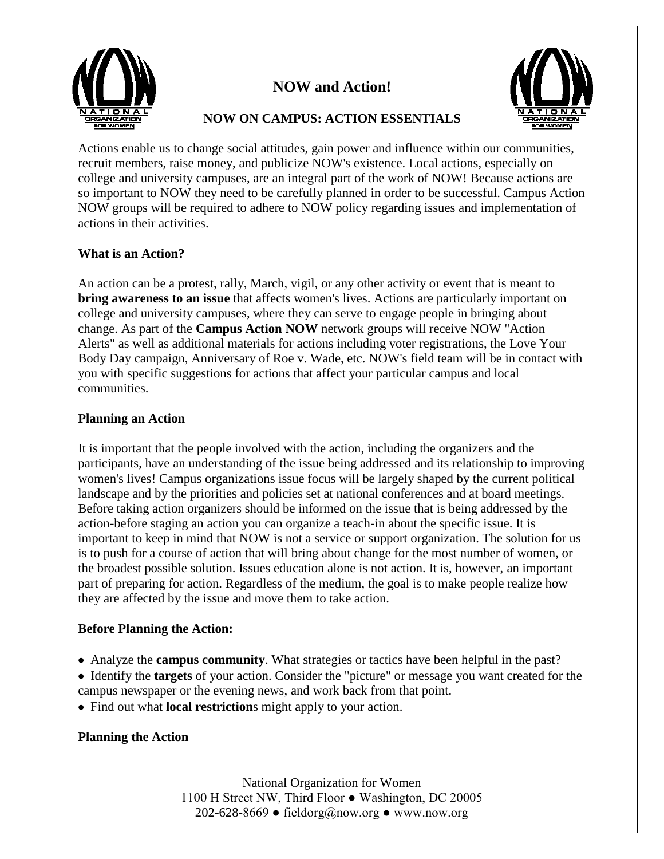

# **NOW and Action!**



# **NOW ON CAMPUS: ACTION ESSENTIALS**

Actions enable us to change social attitudes, gain power and influence within our communities, recruit members, raise money, and publicize NOW's existence. Local actions, especially on college and university campuses, are an integral part of the work of NOW! Because actions are so important to NOW they need to be carefully planned in order to be successful. Campus Action NOW groups will be required to adhere to NOW policy regarding issues and implementation of actions in their activities.

# **What is an Action?**

An action can be a protest, rally, March, vigil, or any other activity or event that is meant to **bring awareness to an issue** that affects women's lives. Actions are particularly important on college and university campuses, where they can serve to engage people in bringing about change. As part of the **Campus Action NOW** network groups will receive NOW "Action Alerts" as well as additional materials for actions including voter registrations, the Love Your Body Day campaign, Anniversary of Roe v. Wade, etc. NOW's field team will be in contact with you with specific suggestions for actions that affect your particular campus and local communities.

## **Planning an Action**

It is important that the people involved with the action, including the organizers and the participants, have an understanding of the issue being addressed and its relationship to improving women's lives! Campus organizations issue focus will be largely shaped by the current political landscape and by the priorities and policies set at national conferences and at board meetings. Before taking action organizers should be informed on the issue that is being addressed by the action-before staging an action you can organize a teach-in about the specific issue. It is important to keep in mind that NOW is not a service or support organization. The solution for us is to push for a course of action that will bring about change for the most number of women, or the broadest possible solution. Issues education alone is not action. It is, however, an important part of preparing for action. Regardless of the medium, the goal is to make people realize how they are affected by the issue and move them to take action.

## **Before Planning the Action:**

- Analyze the **campus community**. What strategies or tactics have been helpful in the past?
- Identify the **targets** of your action. Consider the "picture" or message you want created for the campus newspaper or the evening news, and work back from that point.
- Find out what **local restriction**s might apply to your action.

## **Planning the Action**

National Organization for Women 1100 H Street NW, Third Floor ● Washington, DC 20005 202-628-8669 • fieldorg@now.org • www.now.org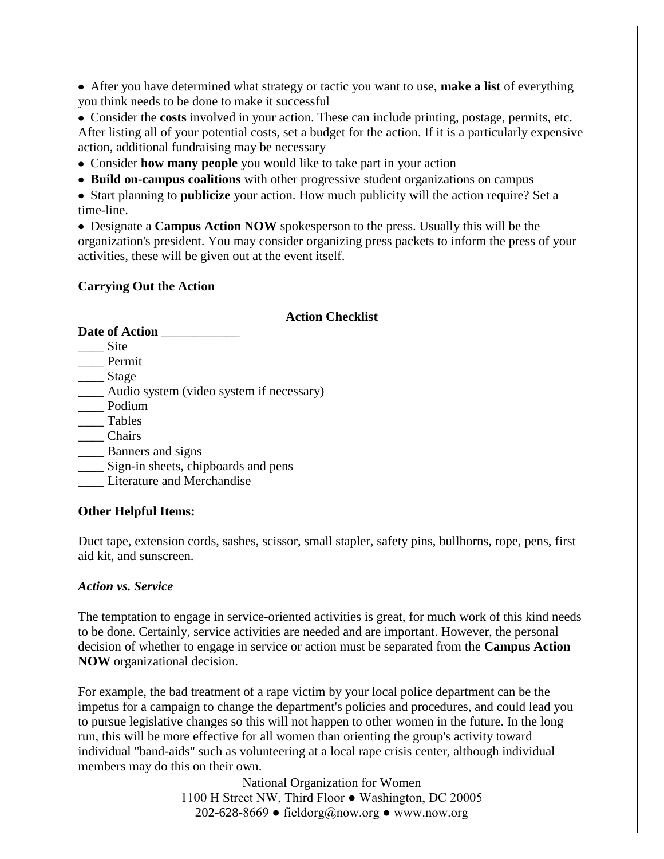After you have determined what strategy or tactic you want to use, **make a list** of everything you think needs to be done to make it successful

 Consider the **costs** involved in your action. These can include printing, postage, permits, etc. After listing all of your potential costs, set a budget for the action. If it is a particularly expensive action, additional fundraising may be necessary

- Consider **how many people** you would like to take part in your action
- **Build on-campus coalitions** with other progressive student organizations on campus

 Start planning to **publicize** your action. How much publicity will the action require? Set a time-line.

 Designate a **Campus Action NOW** spokesperson to the press. Usually this will be the organization's president. You may consider organizing press packets to inform the press of your activities, these will be given out at the event itself.

### **Carrying Out the Action**

#### **Action Checklist**

| <b>Date of Action</b>                    |
|------------------------------------------|
| Site                                     |
| Permit                                   |
| Stage                                    |
| Audio system (video system if necessary) |
| Podium                                   |
| Tables                                   |
| Chairs                                   |
| Banners and signs                        |
| Sign-in sheets, chipboards and pens      |
| Literature and Merchandise               |

#### **Other Helpful Items:**

Duct tape, extension cords, sashes, scissor, small stapler, safety pins, bullhorns, rope, pens, first aid kit, and sunscreen.

#### *Action vs. Service*

The temptation to engage in service-oriented activities is great, for much work of this kind needs to be done. Certainly, service activities are needed and are important. However, the personal decision of whether to engage in service or action must be separated from the **Campus Action NOW** organizational decision.

For example, the bad treatment of a rape victim by your local police department can be the impetus for a campaign to change the department's policies and procedures, and could lead you to pursue legislative changes so this will not happen to other women in the future. In the long run, this will be more effective for all women than orienting the group's activity toward individual "band-aids" such as volunteering at a local rape crisis center, although individual members may do this on their own.

> National Organization for Women 1100 H Street NW, Third Floor ● Washington, DC 20005 202-628-8669 • fieldorg@now.org • www.now.org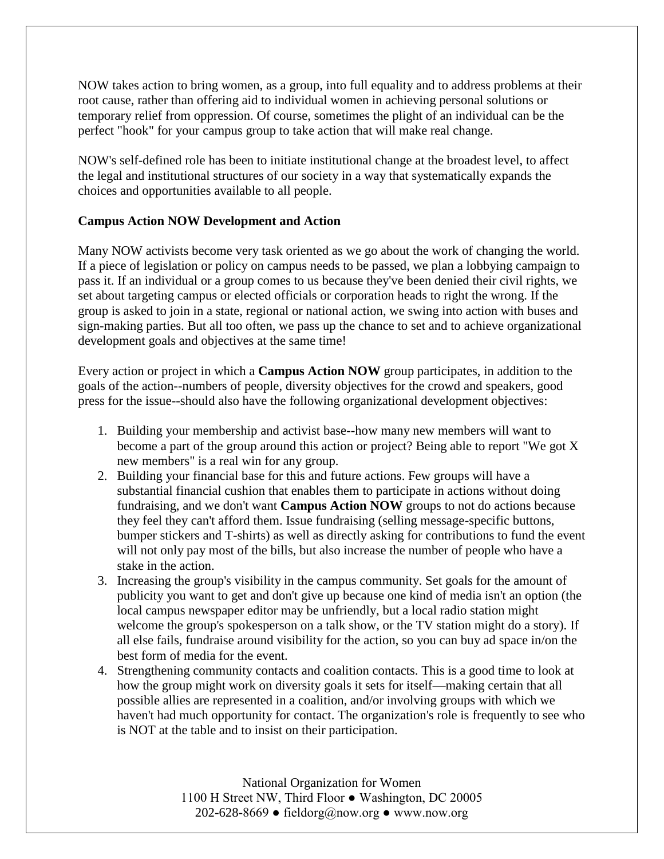NOW takes action to bring women, as a group, into full equality and to address problems at their root cause, rather than offering aid to individual women in achieving personal solutions or temporary relief from oppression. Of course, sometimes the plight of an individual can be the perfect "hook" for your campus group to take action that will make real change.

NOW's self-defined role has been to initiate institutional change at the broadest level, to affect the legal and institutional structures of our society in a way that systematically expands the choices and opportunities available to all people.

## **Campus Action NOW Development and Action**

Many NOW activists become very task oriented as we go about the work of changing the world. If a piece of legislation or policy on campus needs to be passed, we plan a lobbying campaign to pass it. If an individual or a group comes to us because they've been denied their civil rights, we set about targeting campus or elected officials or corporation heads to right the wrong. If the group is asked to join in a state, regional or national action, we swing into action with buses and sign-making parties. But all too often, we pass up the chance to set and to achieve organizational development goals and objectives at the same time!

Every action or project in which a **Campus Action NOW** group participates, in addition to the goals of the action--numbers of people, diversity objectives for the crowd and speakers, good press for the issue--should also have the following organizational development objectives:

- 1. Building your membership and activist base--how many new members will want to become a part of the group around this action or project? Being able to report "We got X new members" is a real win for any group.
- 2. Building your financial base for this and future actions. Few groups will have a substantial financial cushion that enables them to participate in actions without doing fundraising, and we don't want **Campus Action NOW** groups to not do actions because they feel they can't afford them. Issue fundraising (selling message-specific buttons, bumper stickers and T-shirts) as well as directly asking for contributions to fund the event will not only pay most of the bills, but also increase the number of people who have a stake in the action.
- 3. Increasing the group's visibility in the campus community. Set goals for the amount of publicity you want to get and don't give up because one kind of media isn't an option (the local campus newspaper editor may be unfriendly, but a local radio station might welcome the group's spokesperson on a talk show, or the TV station might do a story). If all else fails, fundraise around visibility for the action, so you can buy ad space in/on the best form of media for the event.
- 4. Strengthening community contacts and coalition contacts. This is a good time to look at how the group might work on diversity goals it sets for itself—making certain that all possible allies are represented in a coalition, and/or involving groups with which we haven't had much opportunity for contact. The organization's role is frequently to see who is NOT at the table and to insist on their participation.

National Organization for Women 1100 H Street NW, Third Floor ● Washington, DC 20005 202-628-8669 • fieldorg@now.org • www.now.org